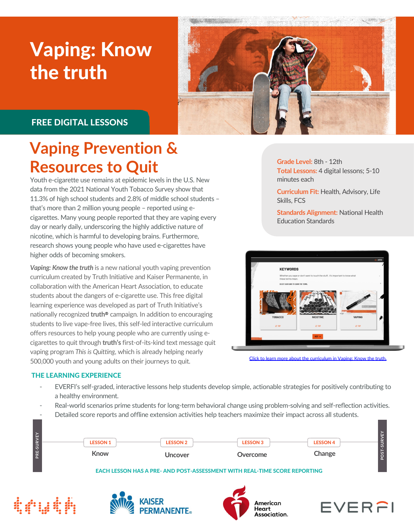# Vaping: Know the truth



### FREE DIGITAL LESSONS

## **Vaping Prevention & Resources to Quit**

Youth e-cigarette use remains at epidemic levels in the U.S. New data from the 2021 National Youth Tobacco Survey show that 11.3% of high school students and 2.8% of middle school students – that's more than 2 million young people – reported using ecigarettes. Many young people reported that they are vaping every day or nearly daily, underscoring the highly addictive nature of nicotine, which is harmful to developing brains. Furthermore, research shows young people who have used e-cigarettes have higher odds of becoming smokers.

*Vaping: Know the truth* is a new national youth vaping prevention curriculum created by Truth Initiative and Kaiser Permanente, in collaboration with the American Heart Association, to educate students about the dangers of e-cigarette use. This free digital learning experience was developed as part of Truth Initiative's nationally recognized **truth<sup>®</sup>** campaign. In addition to encouraging students to live vape-free lives, this self-led interactive curriculum offers resources to help young people who are currently using ecigarettes to quit through **truth's** first-of-its-kind text message quit vaping program *This is Quitting*, which is already helping nearly 500,000 youth and young adults on their journeys to quit.

THE LEARNING EXPERIENCE

- EVERFI's self-graded, interactive lessons help students develop simple, actionable strategies for positively contributing to a healthy environment.
- Real-world scenarios prime students for long-term behavioral change using problem-solving and self-reflection activities.
- Detailed score reports and offline extension activities help teachers maximize their impact across all students.

|            | <b>LESSON 1</b>                                                                  | <b>LESSON 2</b> | <b>LESSON 3</b> | <b>LESSON 4</b> | $\sim$<br>್ಯ |
|------------|----------------------------------------------------------------------------------|-----------------|-----------------|-----------------|--------------|
| PRE-SURVEY | Know                                                                             | Uncover         | Overcome        | Change          | S            |
|            | <b>EACH LESSON HAS A PRE- AND POST-ASSESSMENT WITH REAL-TIME SCORE REPORTING</b> |                 |                 |                 |              |









**Grade Level:** 8th - 12th **Total Lessons:** 4 digital lessons; 5-10 minutes each

**Curriculum Fit:** Health, Advisory, Life Skills, FCS

**Standards Alignment:** National Health Education Standards



[Click to learn more about the curriculum in Vaping: Know the truth.](https://www.youtube.com/watch?v=usrQL5p8jyc&feature=youtu.be)